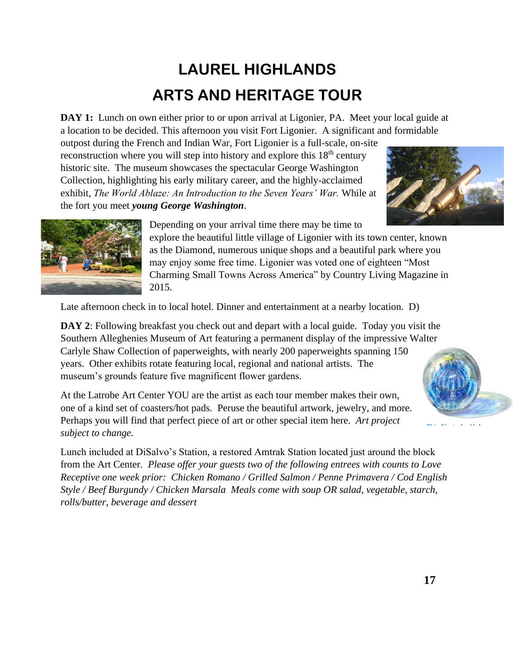## **LAUREL HIGHLANDS ARTS AND HERITAGE TOUR**

**DAY** 1: Lunch on own either prior to or upon arrival at Ligonier, PA. Meet your local guide at a location to be decided. This afternoon you visit Fort Ligonier. A significant and formidable

outpost during the French and Indian War, Fort Ligonier is a full-scale, on-site reconstruction where you will step into history and explore this  $18<sup>th</sup>$  century historic site. The museum showcases the spectacular George Washington Collection, highlighting his early military career, and the highly-acclaimed exhibit, *The World Ablaze: An Introduction to the Seven Years' War.* While at the fort you meet *young George Washington*.





Depending on your arrival time there may be time to

explore the beautiful little village of Ligonier with its town center, known as the Diamond, numerous unique shops and a beautiful park where you may enjoy some free time. Ligonier was voted one of eighteen "Most Charming Small Towns Across America" by Country Living Magazine in 2015.

Late afternoon check in to local hotel. Dinner and entertainment at a nearby location. D)

**DAY 2**: Following breakfast you check out and depart with a local guide. Today you visit the Southern Alleghenies Museum of Art featuring a permanent display of the impressive Walter Carlyle Shaw Collection of paperweights, with nearly 200 paperweights spanning 150 years. Other exhibits rotate featuring local, regional and national artists. The museum's grounds feature five magnificent flower gardens.

At the Latrobe Art Center YOU are the artist as each tour member makes their own, one of a kind set of coasters/hot pads. Peruse the beautiful artwork, jewelry, and more. Perhaps you will find that perfect piece of art or other special item here. *Art project subject to change.*

Lunch included at DiSalvo's Station, a restored Amtrak Station located just around the bl[ock](https://creativecommons.org/licenses/by-nc-sa/3.0/)  from the Art Center. *Please offer your guests two of the following entrees with counts to Love Receptive one week prior: Chicken Romano / Grilled Salmon / Penne Primavera / Cod English Style / Beef Burgundy / Chicken Marsala Meals come with soup OR salad, vegetable, starch, rolls/butter, beverage and dessert*



[This Photo](http://www.crookedbrains.net/2009/07/interesting_28.html) by Unknown